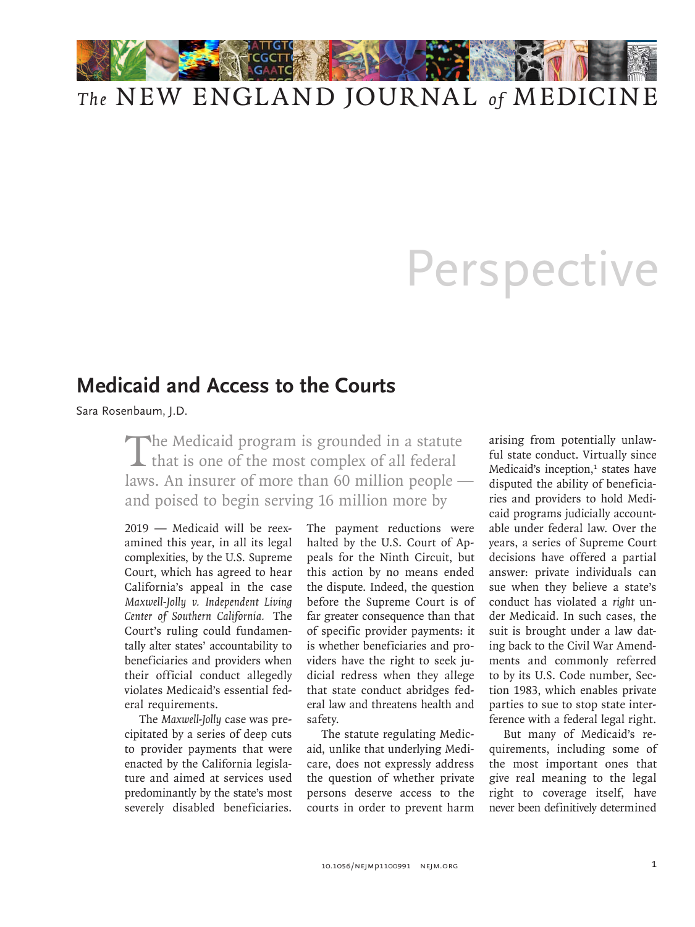

## *The* NEW ENGLAND JOURNAL *of* MEDICINE

## Perspective

## **Medicaid and Access to the Courts**

Sara Rosenbaum, J.D.

The Medicaid program is grounded in a statute<br>that is one of the most complex of all federal laws. An insurer of more than 60 million people and poised to begin serving 16 million more by

2019 — Medicaid will be reexamined this year, in all its legal complexities, by the U.S. Supreme Court, which has agreed to hear California's appeal in the case *Maxwell-Jolly v. Independent Living Center of Southern California.* The Court's ruling could fundamentally alter states' accountability to beneficiaries and providers when their official conduct allegedly violates Medicaid's essential federal requirements.

The *Maxwell-Jolly* case was precipitated by a series of deep cuts to provider payments that were enacted by the California legislature and aimed at services used predominantly by the state's most severely disabled beneficiaries.

The payment reductions were halted by the U.S. Court of Appeals for the Ninth Circuit, but this action by no means ended the dispute. Indeed, the question before the Supreme Court is of far greater consequence than that of specific provider payments: it is whether beneficiaries and providers have the right to seek judicial redress when they allege that state conduct abridges federal law and threatens health and safety.

The statute regulating Medicaid, unlike that underlying Medicare, does not expressly address the question of whether private persons deserve access to the courts in order to prevent harm

arising from potentially unlawful state conduct. Virtually since Medicaid's inception,<sup>1</sup> states have disputed the ability of beneficiaries and providers to hold Medicaid programs judicially accountable under federal law. Over the years, a series of Supreme Court decisions have offered a partial answer: private individuals can sue when they believe a state's conduct has violated a *right* under Medicaid. In such cases, the suit is brought under a law dating back to the Civil War Amendments and commonly referred to by its U.S. Code number, Section 1983, which enables private parties to sue to stop state interference with a federal legal right.

But many of Medicaid's requirements, including some of the most important ones that give real meaning to the legal right to coverage itself, have never been definitively determined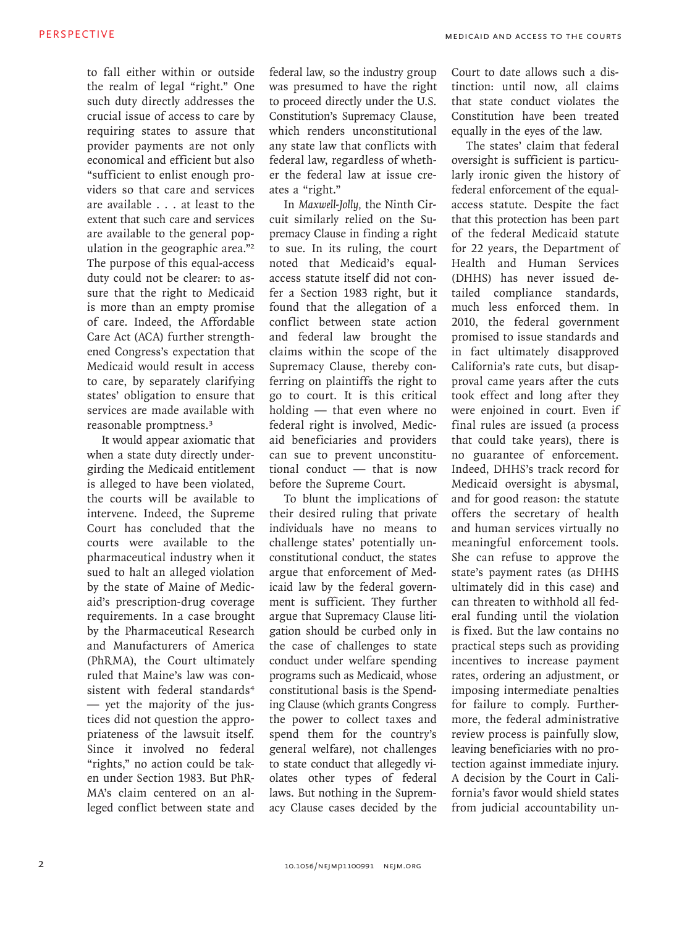to fall either within or outside the realm of legal "right." One such duty directly addresses the crucial issue of access to care by requiring states to assure that provider payments are not only economical and efficient but also "sufficient to enlist enough providers so that care and services are available . . . at least to the extent that such care and services are available to the general population in the geographic area."<sup>2</sup> The purpose of this equal-access duty could not be clearer: to assure that the right to Medicaid is more than an empty promise of care. Indeed, the Affordable Care Act (ACA) further strengthened Congress's expectation that Medicaid would result in access to care, by separately clarifying states' obligation to ensure that services are made available with reasonable promptness.<sup>3</sup>

It would appear axiomatic that when a state duty directly undergirding the Medicaid entitlement is alleged to have been violated, the courts will be available to intervene. Indeed, the Supreme Court has concluded that the courts were available to the pharmaceutical industry when it sued to halt an alleged violation by the state of Maine of Medicaid's prescription-drug coverage requirements. In a case brought by the Pharmaceutical Research and Manufacturers of America (PhRMA), the Court ultimately ruled that Maine's law was consistent with federal standards<sup>4</sup> — yet the majority of the justices did not question the appropriateness of the lawsuit itself. Since it involved no federal "rights," no action could be taken under Section 1983. But PhR-MA's claim centered on an alleged conflict between state and

federal law, so the industry group was presumed to have the right to proceed directly under the U.S. Constitution's Supremacy Clause, which renders unconstitutional any state law that conflicts with federal law, regardless of whether the federal law at issue creates a "right."

In *Maxwell-Jolly,* the Ninth Circuit similarly relied on the Supremacy Clause in finding a right to sue. In its ruling, the court noted that Medicaid's equalaccess statute itself did not confer a Section 1983 right, but it found that the allegation of a conflict between state action and federal law brought the claims within the scope of the Supremacy Clause, thereby conferring on plaintiffs the right to go to court. It is this critical holding — that even where no federal right is involved, Medicaid beneficiaries and providers can sue to prevent unconstitutional conduct — that is now before the Supreme Court.

To blunt the implications of their desired ruling that private individuals have no means to challenge states' potentially unconstitutional conduct, the states argue that enforcement of Medicaid law by the federal government is sufficient. They further argue that Supremacy Clause litigation should be curbed only in the case of challenges to state conduct under welfare spending programs such as Medicaid, whose constitutional basis is the Spending Clause (which grants Congress the power to collect taxes and spend them for the country's general welfare), not challenges to state conduct that allegedly violates other types of federal laws. But nothing in the Supremacy Clause cases decided by the

Court to date allows such a distinction: until now, all claims that state conduct violates the Constitution have been treated equally in the eyes of the law.

The states' claim that federal oversight is sufficient is particularly ironic given the history of federal enforcement of the equalaccess statute. Despite the fact that this protection has been part of the federal Medicaid statute for 22 years, the Department of Health and Human Services (DHHS) has never issued detailed compliance standards, much less enforced them. In 2010, the federal government promised to issue standards and in fact ultimately disapproved California's rate cuts, but disapproval came years after the cuts took effect and long after they were enjoined in court. Even if final rules are issued (a process that could take years), there is no guarantee of enforcement. Indeed, DHHS's track record for Medicaid oversight is abysmal, and for good reason: the statute offers the secretary of health and human services virtually no meaningful enforcement tools. She can refuse to approve the state's payment rates (as DHHS ultimately did in this case) and can threaten to withhold all federal funding until the violation is fixed. But the law contains no practical steps such as providing incentives to increase payment rates, ordering an adjustment, or imposing intermediate penalties for failure to comply. Furthermore, the federal administrative review process is painfully slow, leaving beneficiaries with no protection against immediate injury. A decision by the Court in California's favor would shield states from judicial accountability un-